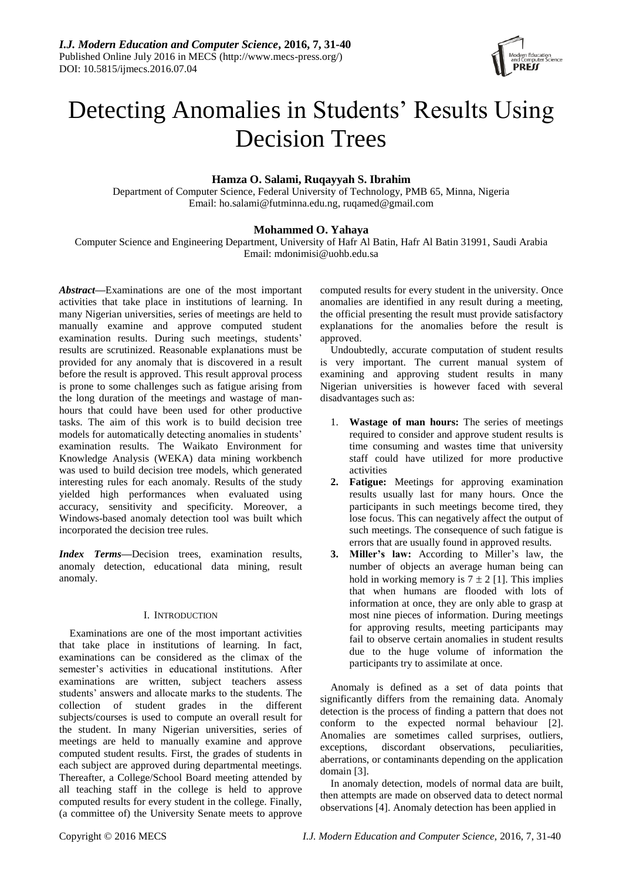

# Detecting Anomalies in Students' Results Using Decision Trees

# **Hamza O. Salami, Ruqayyah S. Ibrahim**

Department of Computer Science, Federal University of Technology, PMB 65, Minna, Nigeria Email: ho.salami@futminna.edu.ng, ruqamed@gmail.com

# **Mohammed O. Yahaya**

Computer Science and Engineering Department, University of Hafr Al Batin, Hafr Al Batin 31991, Saudi Arabia Email: mdonimisi@uohb.edu.sa

*Abstract***—**Examinations are one of the most important activities that take place in institutions of learning. In many Nigerian universities, series of meetings are held to manually examine and approve computed student examination results. During such meetings, students' results are scrutinized. Reasonable explanations must be provided for any anomaly that is discovered in a result before the result is approved. This result approval process is prone to some challenges such as fatigue arising from the long duration of the meetings and wastage of manhours that could have been used for other productive tasks. The aim of this work is to build decision tree models for automatically detecting anomalies in students' examination results. The Waikato Environment for Knowledge Analysis (WEKA) data mining workbench was used to build decision tree models, which generated interesting rules for each anomaly. Results of the study yielded high performances when evaluated using accuracy, sensitivity and specificity. Moreover, a Windows-based anomaly detection tool was built which incorporated the decision tree rules.

*Index Terms***—**Decision trees, examination results, anomaly detection, educational data mining, result anomaly.

# I. INTRODUCTION

Examinations are one of the most important activities that take place in institutions of learning. In fact, examinations can be considered as the climax of the semester's activities in educational institutions. After examinations are written, subject teachers assess students" answers and allocate marks to the students. The collection of student grades in the different subjects/courses is used to compute an overall result for the student. In many Nigerian universities, series of meetings are held to manually examine and approve computed student results. First, the grades of students in each subject are approved during departmental meetings. Thereafter, a College/School Board meeting attended by all teaching staff in the college is held to approve computed results for every student in the college. Finally, (a committee of) the University Senate meets to approve

computed results for every student in the university. Once anomalies are identified in any result during a meeting, the official presenting the result must provide satisfactory explanations for the anomalies before the result is approved.

Undoubtedly, accurate computation of student results is very important. The current manual system of examining and approving student results in many Nigerian universities is however faced with several disadvantages such as:

- 1. **Wastage of man hours:** The series of meetings required to consider and approve student results is time consuming and wastes time that university staff could have utilized for more productive activities
- **2. Fatigue:** Meetings for approving examination results usually last for many hours. Once the participants in such meetings become tired, they lose focus. This can negatively affect the output of such meetings. The consequence of such fatigue is errors that are usually found in approved results.
- **3. Miller's law:** According to Miller"s law, the number of objects an average human being can hold in working memory is  $7 \pm 2$  [1]. This implies that when humans are flooded with lots of information at once, they are only able to grasp at most nine pieces of information. During meetings for approving results, meeting participants may fail to observe certain anomalies in student results due to the huge volume of information the participants try to assimilate at once.

Anomaly is defined as a set of data points that significantly differs from the remaining data. Anomaly detection is the process of finding a pattern that does not conform to the expected normal behaviour [2]. Anomalies are sometimes called surprises, outliers, exceptions, discordant observations, peculiarities, aberrations, or contaminants depending on the application domain [3].

In anomaly detection, models of normal data are built, then attempts are made on observed data to detect normal observations [4]. Anomaly detection has been applied in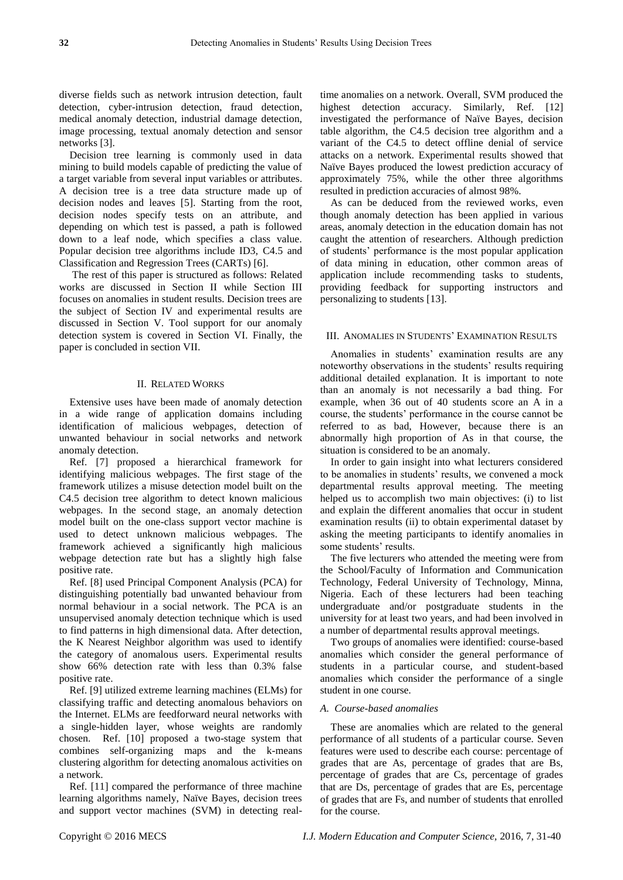diverse fields such as network intrusion detection, fault detection, cyber-intrusion detection, fraud detection, medical anomaly detection, industrial damage detection, image processing, textual anomaly detection and sensor networks [3].

Decision tree learning is commonly used in data mining to build models capable of predicting the value of a target variable from several input variables or attributes. A decision tree is a tree data structure made up of decision nodes and leaves [5]. Starting from the root, decision nodes specify tests on an attribute, and depending on which test is passed, a path is followed down to a leaf node, which specifies a class value. Popular decision tree algorithms include ID3, C4.5 and Classification and Regression Trees (CARTs) [6].

The rest of this paper is structured as follows: Related works are discussed in Section II while Section III focuses on anomalies in student results. Decision trees are the subject of Section IV and experimental results are discussed in Section V. Tool support for our anomaly detection system is covered in Section VI. Finally, the paper is concluded in section VII.

# II. RELATED WORKS

Extensive uses have been made of anomaly detection in a wide range of application domains including identification of malicious webpages, detection of unwanted behaviour in social networks and network anomaly detection.

Ref. [7] proposed a hierarchical framework for identifying malicious webpages. The first stage of the framework utilizes a misuse detection model built on the C4.5 decision tree algorithm to detect known malicious webpages. In the second stage, an anomaly detection model built on the one-class support vector machine is used to detect unknown malicious webpages. The framework achieved a significantly high malicious webpage detection rate but has a slightly high false positive rate.

Ref. [8] used Principal Component Analysis (PCA) for distinguishing potentially bad unwanted behaviour from normal behaviour in a social network. The PCA is an unsupervised anomaly detection technique which is used to find patterns in high dimensional data. After detection, the K Nearest Neighbor algorithm was used to identify the category of anomalous users. Experimental results show 66% detection rate with less than 0.3% false positive rate.

Ref. [9] utilized extreme learning machines (ELMs) for classifying traffic and detecting anomalous behaviors on the Internet. ELMs are feedforward neural networks with a single-hidden layer, whose weights are randomly chosen. Ref. [10] proposed a two-stage system that combines self-organizing maps and the k-means clustering algorithm for detecting anomalous activities on a network.

Ref. [11] compared the performance of three machine learning algorithms namely, Na ve Bayes, decision trees and support vector machines (SVM) in detecting realtime anomalies on a network. Overall, SVM produced the highest detection accuracy. Similarly, Ref. [12] investigated the performance of Naïve Bayes, decision table algorithm, the C4.5 decision tree algorithm and a variant of the C4.5 to detect offline denial of service attacks on a network. Experimental results showed that Na **i**ve Bayes produced the lowest prediction accuracy of approximately 75%, while the other three algorithms resulted in prediction accuracies of almost 98%.

As can be deduced from the reviewed works, even though anomaly detection has been applied in various areas, anomaly detection in the education domain has not caught the attention of researchers. Although prediction of students" performance is the most popular application of data mining in education, other common areas of application include recommending tasks to students, providing feedback for supporting instructors and personalizing to students [13].

## III. ANOMALIES IN STUDENTS' EXAMINATION RESULTS

Anomalies in students' examination results are any noteworthy observations in the students' results requiring additional detailed explanation. It is important to note than an anomaly is not necessarily a bad thing. For example, when 36 out of 40 students score an A in a course, the students" performance in the course cannot be referred to as bad, However, because there is an abnormally high proportion of As in that course, the situation is considered to be an anomaly.

In order to gain insight into what lecturers considered to be anomalies in students' results, we convened a mock departmental results approval meeting. The meeting helped us to accomplish two main objectives: (i) to list and explain the different anomalies that occur in student examination results (ii) to obtain experimental dataset by asking the meeting participants to identify anomalies in some students' results.

The five lecturers who attended the meeting were from the School/Faculty of Information and Communication Technology, Federal University of Technology, Minna, Nigeria. Each of these lecturers had been teaching undergraduate and/or postgraduate students in the university for at least two years, and had been involved in a number of departmental results approval meetings.

Two groups of anomalies were identified: course-based anomalies which consider the general performance of students in a particular course, and student-based anomalies which consider the performance of a single student in one course.

#### *A. Course-based anomalies*

These are anomalies which are related to the general performance of all students of a particular course. Seven features were used to describe each course: percentage of grades that are As, percentage of grades that are Bs, percentage of grades that are Cs, percentage of grades that are Ds, percentage of grades that are Es, percentage of grades that are Fs, and number of students that enrolled for the course.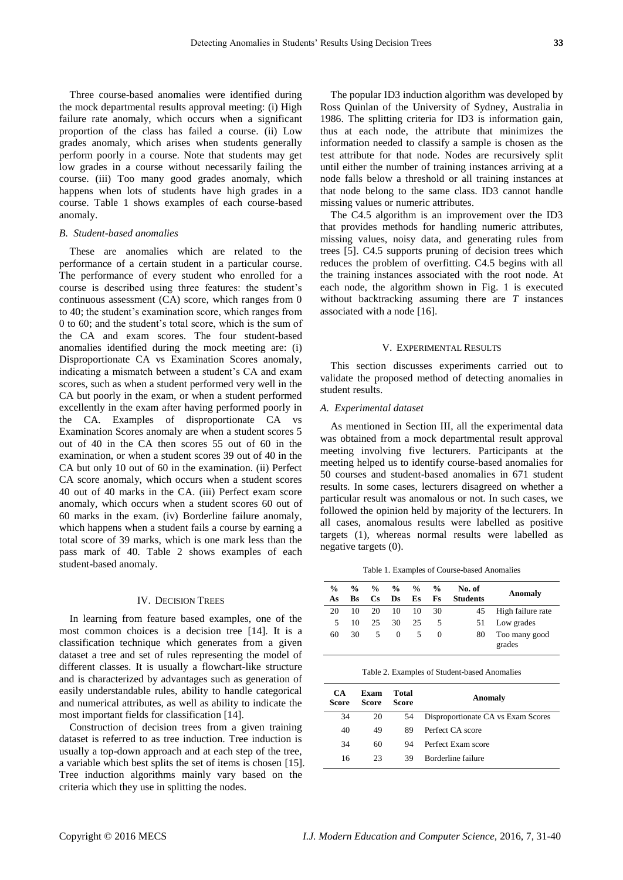Three course-based anomalies were identified during the mock departmental results approval meeting: (i) High failure rate anomaly, which occurs when a significant proportion of the class has failed a course. (ii) Low grades anomaly, which arises when students generally perform poorly in a course. Note that students may get low grades in a course without necessarily failing the course. (iii) Too many good grades anomaly, which happens when lots of students have high grades in a course. Table 1 shows examples of each course-based anomaly.

#### *B. Student-based anomalies*

These are anomalies which are related to the performance of a certain student in a particular course. The performance of every student who enrolled for a course is described using three features: the student"s continuous assessment (CA) score, which ranges from 0 to 40; the student"s examination score, which ranges from 0 to 60; and the student"s total score, which is the sum of the CA and exam scores. The four student-based anomalies identified during the mock meeting are: (i) Disproportionate CA vs Examination Scores anomaly, indicating a mismatch between a student's CA and exam scores, such as when a student performed very well in the CA but poorly in the exam, or when a student performed excellently in the exam after having performed poorly in the CA. Examples of disproportionate CA vs Examination Scores anomaly are when a student scores 5 out of 40 in the CA then scores 55 out of 60 in the examination, or when a student scores 39 out of 40 in the CA but only 10 out of 60 in the examination. (ii) Perfect CA score anomaly, which occurs when a student scores 40 out of 40 marks in the CA. (iii) Perfect exam score anomaly, which occurs when a student scores 60 out of 60 marks in the exam. (iv) Borderline failure anomaly, which happens when a student fails a course by earning a total score of 39 marks, which is one mark less than the pass mark of 40. Table 2 shows examples of each student-based anomaly.

#### IV. DECISION TREES

In learning from feature based examples, one of the most common choices is a decision tree [14]. It is a classification technique which generates from a given dataset a tree and set of rules representing the model of different classes. It is usually a flowchart-like structure and is characterized by advantages such as generation of easily understandable rules, ability to handle categorical and numerical attributes, as well as ability to indicate the most important fields for classification [14].

Construction of decision trees from a given training dataset is referred to as tree induction. Tree induction is usually a top-down approach and at each step of the tree, a variable which best splits the set of items is chosen [15]. Tree induction algorithms mainly vary based on the criteria which they use in splitting the nodes.

The popular ID3 induction algorithm was developed by Ross Quinlan of the University of Sydney, Australia in 1986. The splitting criteria for ID3 is information gain, thus at each node, the attribute that minimizes the information needed to classify a sample is chosen as the test attribute for that node. Nodes are recursively split until either the number of training instances arriving at a node falls below a threshold or all training instances at that node belong to the same class. ID3 cannot handle missing values or numeric attributes.

The C4.5 algorithm is an improvement over the ID3 that provides methods for handling numeric attributes, missing values, noisy data, and generating rules from trees [5]. C4.5 supports pruning of decision trees which reduces the problem of overfitting. C4.5 begins with all the training instances associated with the root node. At each node, the algorithm shown in Fig. 1 is executed without backtracking assuming there are *T* instances associated with a node [16].

#### V. EXPERIMENTAL RESULTS

This section discusses experiments carried out to validate the proposed method of detecting anomalies in student results.

## *A. Experimental dataset*

As mentioned in Section III, all the experimental data was obtained from a mock departmental result approval meeting involving five lecturers. Participants at the meeting helped us to identify course-based anomalies for 50 courses and student-based anomalies in 671 student results. In some cases, lecturers disagreed on whether a particular result was anomalous or not. In such cases, we followed the opinion held by majority of the lecturers. In all cases, anomalous results were labelled as positive targets (1), whereas normal results were labelled as negative targets (0).

Table 1. Examples of Course-based Anomalies

| $\frac{0}{0}$<br>As | $\frac{0}{0}$<br>Bs | $\%$<br>Cs. | $\frac{0}{0}$<br>Ds. | $\frac{6}{10}$<br>Es | $\frac{0}{0}$<br>Fs | No. of<br><b>Students</b> | Anomaly                 |
|---------------------|---------------------|-------------|----------------------|----------------------|---------------------|---------------------------|-------------------------|
| 20                  | 10                  | 20          | 10                   | 10                   | 30                  | 45                        | High failure rate       |
| 5                   | 10                  | 25          | 30                   | 25                   | 5                   | 51                        | Low grades              |
| 60                  | 30                  | 5           | 0                    |                      |                     | 80                        | Too many good<br>grades |

Table 2. Examples of Student-based Anomalies

| CA<br>Score | Exam<br>Score | Total<br>Score | Anomaly                            |
|-------------|---------------|----------------|------------------------------------|
| 34          | 20            | 54             | Disproportionate CA vs Exam Scores |
| 40          | 49            | 89             | Perfect CA score                   |
| 34          | 60            | 94             | Perfect Exam score                 |
| 16          | 23            | 39             | Borderline failure                 |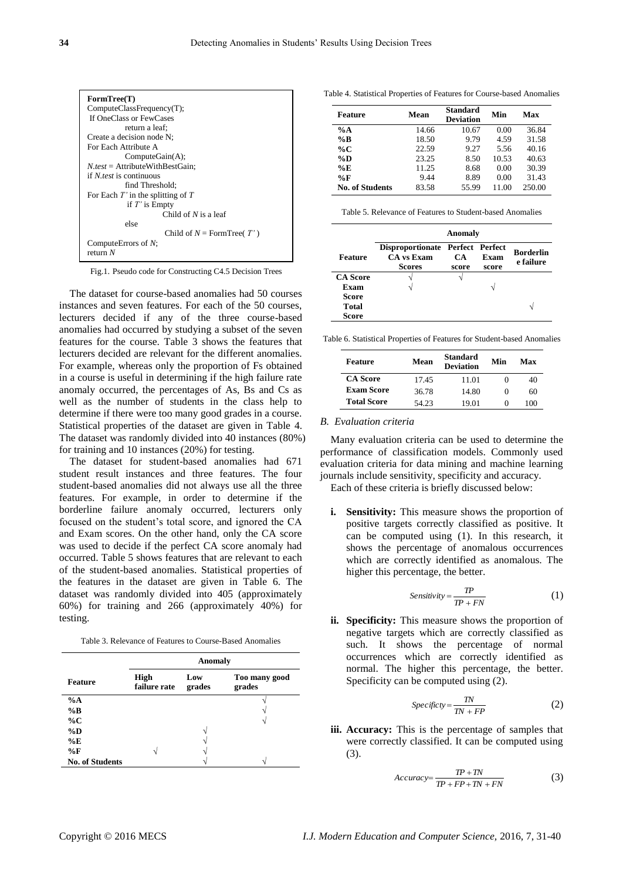

Fig.1. Pseudo code for Constructing C4.5 Decision Trees

The dataset for course-based anomalies had 50 courses instances and seven features. For each of the 50 courses, lecturers decided if any of the three course-based anomalies had occurred by studying a subset of the seven features for the course. Table 3 shows the features that lecturers decided are relevant for the different anomalies. For example, whereas only the proportion of Fs obtained in a course is useful in determining if the high failure rate anomaly occurred, the percentages of As, Bs and Cs as well as the number of students in the class help to determine if there were too many good grades in a course. Statistical properties of the dataset are given in Table 4. The dataset was randomly divided into 40 instances (80%) for training and 10 instances (20%) for testing.

The dataset for student-based anomalies had 671 student result instances and three features. The four student-based anomalies did not always use all the three features. For example, in order to determine if the borderline failure anomaly occurred, lecturers only focused on the student"s total score, and ignored the CA and Exam scores. On the other hand, only the CA score was used to decide if the perfect CA score anomaly had occurred. Table 5 shows features that are relevant to each of the student-based anomalies. Statistical properties of the features in the dataset are given in Table 6. The dataset was randomly divided into 405 (approximately 60%) for training and 266 (approximately 40%) for testing.

|                        |                             | Anomaly       |                         |
|------------------------|-----------------------------|---------------|-------------------------|
| Feature                | <b>High</b><br>failure rate | Low<br>grades | Too many good<br>grades |
| $\%A$                  |                             |               |                         |
| $\%$ B                 |                             |               |                         |
| $\%C$                  |                             |               |                         |
| $\%D$                  |                             |               |                         |
| %E                     |                             |               |                         |
| $\%$ F                 |                             |               |                         |
| <b>No. of Students</b> |                             |               |                         |

Table 4. Statistical Properties of Features for Course-based Anomalies

| <b>Feature</b>  | Mean  | Standard<br><b>Deviation</b> | Min   | Max    |
|-----------------|-------|------------------------------|-------|--------|
| $\%A$           | 14.66 | 10.67                        | 0.00  | 36.84  |
| %B              | 18.50 | 9.79                         | 4.59  | 31.58  |
| $\%C$           | 22.59 | 9.27                         | 5.56  | 40.16  |
| $\%D$           | 23.25 | 8.50                         | 10.53 | 40.63  |
| %E              | 11.25 | 8.68                         | 0.00  | 30.39  |
| %F              | 9.44  | 8.89                         | 0.00  | 31.43  |
| No. of Students | 83.58 | 55.99                        | 11.00 | 250.00 |

Table 5. Relevance of Features to Student-based Anomalies

|                 |                                                                 | Anomaly      |               |                               |
|-----------------|-----------------------------------------------------------------|--------------|---------------|-------------------------------|
| Feature         | Disproportionate Perfect Perfect<br>CA vs Exam<br><b>Scores</b> | CA.<br>score | Exam<br>score | <b>Borderlin</b><br>e failure |
| <b>CA</b> Score |                                                                 |              |               |                               |
| Exam            |                                                                 |              |               |                               |
| Score           |                                                                 |              |               |                               |
| <b>Total</b>    |                                                                 |              |               |                               |
| Score           |                                                                 |              |               |                               |

Table 6. Statistical Properties of Features for Student-based Anomalies

| <b>Feature</b>     | Mean  | <b>Standard</b><br><b>Deviation</b> | Min | Max |
|--------------------|-------|-------------------------------------|-----|-----|
| <b>CA</b> Score    | 17.45 | 11.01                               |     | 40  |
| <b>Exam Score</b>  | 36.78 | 14.80                               |     | 60  |
| <b>Total Score</b> | 54.23 | 19.01                               |     | 100 |

#### *B. Evaluation criteria*

Many evaluation criteria can be used to determine the performance of classification models. Commonly used evaluation criteria for data mining and machine learning journals include sensitivity, specificity and accuracy. Each of these criteria is briefly discussed below:

**i.** Sensitivity: This measure shows the proportion of positive targets correctly classified as positive. It can be computed using (1). In this research, it shows the percentage of anomalous occurrences which are correctly identified as anomalous. The higher this percentage, the better.

$$
Sensitivity = \frac{TP}{TP + FN}
$$
 (1)

**ii. Specificity:** This measure shows the proportion of negative targets which are correctly classified as such. It shows the percentage of normal occurrences which are correctly identified as normal. The higher this percentage, the better. Specificity can be computed using (2).

$$
Specificity = \frac{TN}{TN + FP}
$$
 (2)

**iii. Accuracy:** This is the percentage of samples that were correctly classified. It can be computed using (3).

$$
Accuracy = \frac{TP + TN}{TP + FP + TN + FN}
$$
 (3)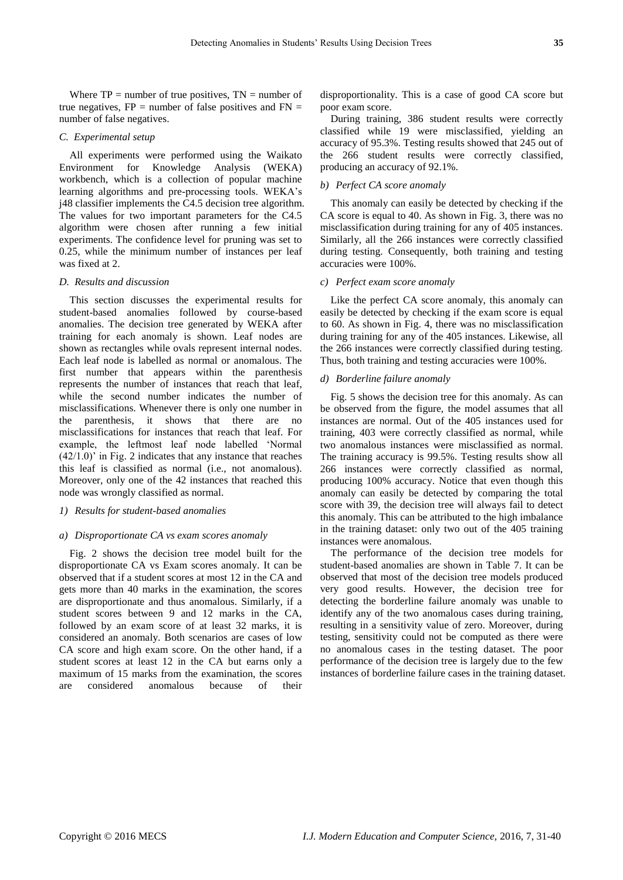Where  $TP =$  number of true positives,  $TN =$  number of true negatives,  $FP =$  number of false positives and  $FN =$ number of false negatives.

# *C. Experimental setup*

All experiments were performed using the Waikato Environment for Knowledge Analysis (WEKA) workbench, which is a collection of popular machine learning algorithms and pre-processing tools. WEKA"s j48 classifier implements the C4.5 decision tree algorithm. The values for two important parameters for the C4.5 algorithm were chosen after running a few initial experiments. The confidence level for pruning was set to 0.25, while the minimum number of instances per leaf was fixed at 2.

#### *D. Results and discussion*

This section discusses the experimental results for student-based anomalies followed by course-based anomalies. The decision tree generated by WEKA after training for each anomaly is shown. Leaf nodes are shown as rectangles while ovals represent internal nodes. Each leaf node is labelled as normal or anomalous. The first number that appears within the parenthesis represents the number of instances that reach that leaf, while the second number indicates the number of misclassifications. Whenever there is only one number in the parenthesis, it shows that there are no misclassifications for instances that reach that leaf. For example, the leftmost leaf node labelled "Normal  $(42/1.0)$ " in Fig. 2 indicates that any instance that reaches this leaf is classified as normal (i.e., not anomalous). Moreover, only one of the 42 instances that reached this node was wrongly classified as normal.

#### *1) Results for student-based anomalies*

#### *a) Disproportionate CA vs exam scores anomaly*

Fig. 2 shows the decision tree model built for the disproportionate CA vs Exam scores anomaly. It can be observed that if a student scores at most 12 in the CA and gets more than 40 marks in the examination, the scores are disproportionate and thus anomalous. Similarly, if a student scores between 9 and 12 marks in the CA, followed by an exam score of at least 32 marks, it is considered an anomaly. Both scenarios are cases of low CA score and high exam score. On the other hand, if a student scores at least 12 in the CA but earns only a maximum of 15 marks from the examination, the scores are considered anomalous because of their

disproportionality. This is a case of good CA score but poor exam score.

During training, 386 student results were correctly classified while 19 were misclassified, yielding an accuracy of 95.3%. Testing results showed that 245 out of the 266 student results were correctly classified, producing an accuracy of 92.1%.

#### *b) Perfect CA score anomaly*

This anomaly can easily be detected by checking if the CA score is equal to 40. As shown in Fig. 3, there was no misclassification during training for any of 405 instances. Similarly, all the 266 instances were correctly classified during testing. Consequently, both training and testing accuracies were 100%.

#### *c) Perfect exam score anomaly*

Like the perfect CA score anomaly, this anomaly can easily be detected by checking if the exam score is equal to 60. As shown in Fig. 4, there was no misclassification during training for any of the 405 instances. Likewise, all the 266 instances were correctly classified during testing. Thus, both training and testing accuracies were 100%.

#### *d) Borderline failure anomaly*

Fig. 5 shows the decision tree for this anomaly. As can be observed from the figure, the model assumes that all instances are normal. Out of the 405 instances used for training, 403 were correctly classified as normal, while two anomalous instances were misclassified as normal. The training accuracy is 99.5%. Testing results show all 266 instances were correctly classified as normal, producing 100% accuracy. Notice that even though this anomaly can easily be detected by comparing the total score with 39, the decision tree will always fail to detect this anomaly. This can be attributed to the high imbalance in the training dataset: only two out of the 405 training instances were anomalous.

The performance of the decision tree models for student-based anomalies are shown in Table 7. It can be observed that most of the decision tree models produced very good results. However, the decision tree for detecting the borderline failure anomaly was unable to identify any of the two anomalous cases during training, resulting in a sensitivity value of zero. Moreover, during testing, sensitivity could not be computed as there were no anomalous cases in the testing dataset. The poor performance of the decision tree is largely due to the few instances of borderline failure cases in the training dataset.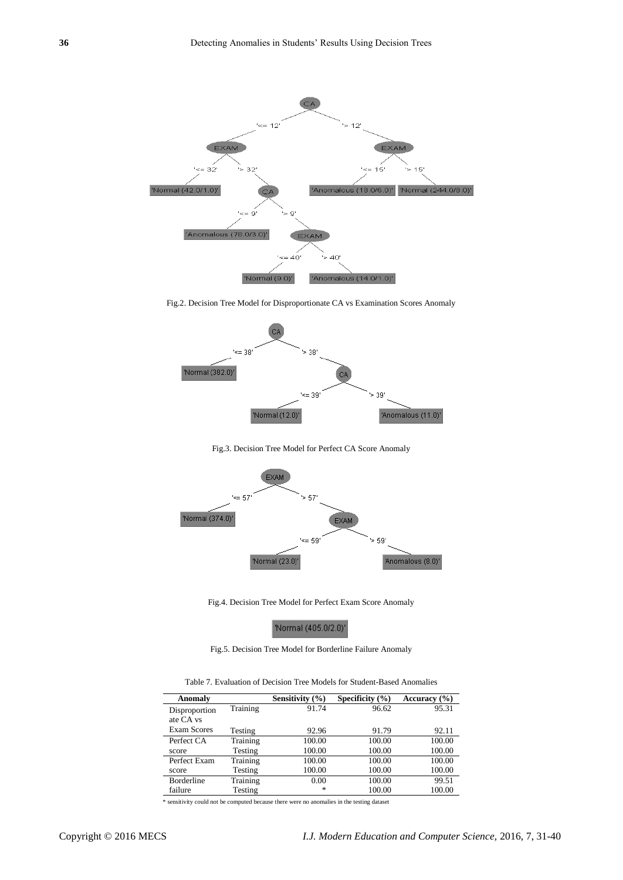

Fig.2. Decision Tree Model for Disproportionate CA vs Examination Scores Anomaly



Fig.3. Decision Tree Model for Perfect CA Score Anomaly



Fig.4. Decision Tree Model for Perfect Exam Score Anomaly

'Normal (405.0/2.0)'

Fig.5. Decision Tree Model for Borderline Failure Anomaly

Table 7. Evaluation of Decision Tree Models for Student-Based Anomalies

| Anomaly            |          | Sensitivity $(\% )$ | Specificity $(\% )$ | Accuracy $(\% )$ |
|--------------------|----------|---------------------|---------------------|------------------|
| Disproportion      | Training | 91.74               | 96.62               | 95.31            |
| ate CA vs          |          |                     |                     |                  |
| <b>Exam Scores</b> | Testing  | 92.96               | 91.79               | 92.11            |
| Perfect CA         | Training | 100.00              | 100.00              | 100.00           |
| score              | Testing  | 100.00              | 100.00              | 100.00           |
| Perfect Exam       | Training | 100.00              | 100.00              | 100.00           |
| score              | Testing  | 100.00              | 100.00              | 100.00           |
| <b>Borderline</b>  | Training | 0.00                | 100.00              | 99.51            |
| failure            | Testing  | $\ast$              | 100.00              | 100.00           |

\* sensitivity could not be computed because there were no anomalies in the testing dataset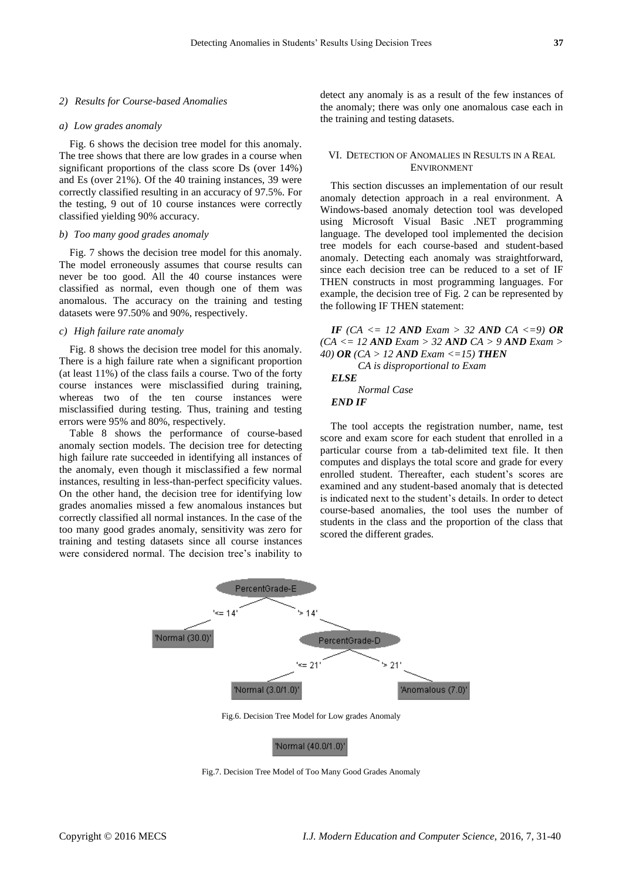#### *2) Results for Course-based Anomalies*

#### *a) Low grades anomaly*

Fig. 6 shows the decision tree model for this anomaly. The tree shows that there are low grades in a course when significant proportions of the class score Ds (over 14%) and Es (over 21%). Of the 40 training instances, 39 were correctly classified resulting in an accuracy of 97.5%. For the testing, 9 out of 10 course instances were correctly classified yielding 90% accuracy.

#### *b) Too many good grades anomaly*

Fig. 7 shows the decision tree model for this anomaly. The model erroneously assumes that course results can never be too good. All the 40 course instances were classified as normal, even though one of them was anomalous. The accuracy on the training and testing datasets were 97.50% and 90%, respectively.

# *c) High failure rate anomaly*

Fig. 8 shows the decision tree model for this anomaly. There is a high failure rate when a significant proportion (at least 11%) of the class fails a course. Two of the forty course instances were misclassified during training, whereas two of the ten course instances were misclassified during testing. Thus, training and testing errors were 95% and 80%, respectively.

Table 8 shows the performance of course-based anomaly section models. The decision tree for detecting high failure rate succeeded in identifying all instances of the anomaly, even though it misclassified a few normal instances, resulting in less-than-perfect specificity values. On the other hand, the decision tree for identifying low grades anomalies missed a few anomalous instances but correctly classified all normal instances. In the case of the too many good grades anomaly, sensitivity was zero for training and testing datasets since all course instances were considered normal. The decision tree's inability to

detect any anomaly is as a result of the few instances of the anomaly; there was only one anomalous case each in the training and testing datasets.

## VI. DETECTION OF ANOMALIES IN RESULTS IN A REAL ENVIRONMENT

This section discusses an implementation of our result anomaly detection approach in a real environment. A Windows-based anomaly detection tool was developed using Microsoft Visual Basic .NET programming language. The developed tool implemented the decision tree models for each course-based and student-based anomaly. Detecting each anomaly was straightforward, since each decision tree can be reduced to a set of IF THEN constructs in most programming languages. For example, the decision tree of Fig. 2 can be represented by the following IF THEN statement:

*IF*  $(CA \leq 12 \text{ AND } Exam > 32 \text{ AND } CA \leq 9) \text{ OR}$ *(CA <= 12 AND Exam > 32 AND CA > 9 AND Exam > 40) OR (CA > 12 AND Exam <=15) THEN*

*CA is disproportional to Exam ELSE Normal Case END IF*

The tool accepts the registration number, name, test score and exam score for each student that enrolled in a particular course from a tab-delimited text file. It then computes and displays the total score and grade for every enrolled student. Thereafter, each student"s scores are examined and any student-based anomaly that is detected is indicated next to the student"s details. In order to detect course-based anomalies, the tool uses the number of students in the class and the proportion of the class that scored the different grades.



Fig.6. Decision Tree Model for Low grades Anomaly

'Normal (40.0/1.0)'

Fig.7. Decision Tree Model of Too Many Good Grades Anomaly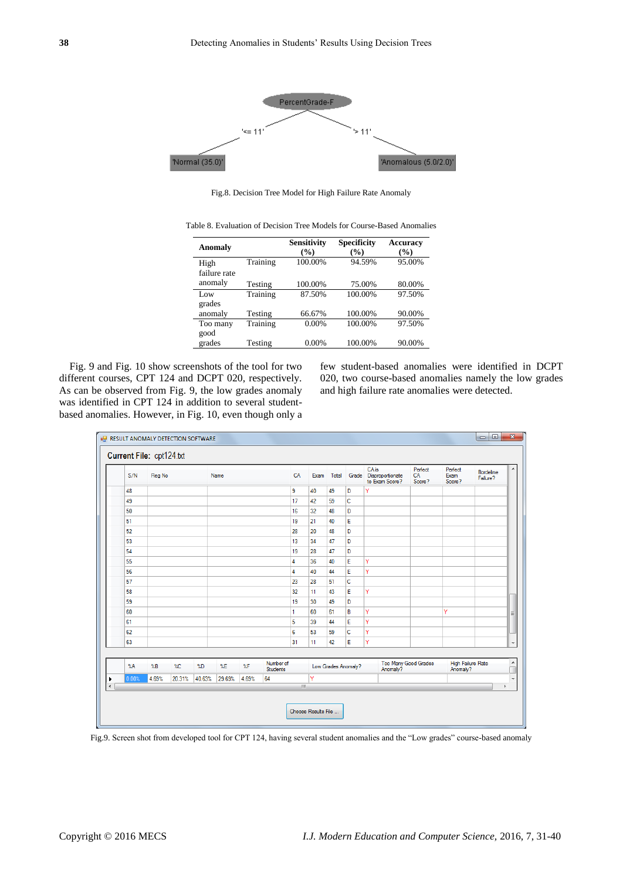

Fig.8. Decision Tree Model for High Failure Rate Anomaly

| Table 8. Evaluation of Decision Tree Models for Course-Based Anomalies |
|------------------------------------------------------------------------|
|------------------------------------------------------------------------|

| Anomaly      |          | <b>Sensitivity</b><br>$(\%)$ | <b>Specificity</b><br>(%) | <b>Accuracy</b><br>(9/0) |
|--------------|----------|------------------------------|---------------------------|--------------------------|
| High         | Training | 100.00%                      | 94.59%                    | 95.00%                   |
| failure rate |          |                              |                           |                          |
| anomaly      | Testing  | 100.00%                      | 75.00%                    | 80.00%                   |
| Low          | Training | 87.50%                       | 100.00%                   | 97.50%                   |
| grades       |          |                              |                           |                          |
| anomaly      | Testing  | 66.67%                       | 100.00%                   | 90.00%                   |
| Too many     | Training | 0.00%                        | 100.00%                   | 97.50%                   |
| good         |          |                              |                           |                          |
| grades       | Testing  | 0.00%                        | 100.00%                   | 90.00%                   |

Fig. 9 and Fig. 10 show screenshots of the tool for two different courses, CPT 124 and DCPT 020, respectively. As can be observed from Fig. 9, the low grades anomaly was identified in CPT 124 in addition to several studentbased anomalies. However, in Fig. 10, even though only a few student-based anomalies were identified in DCPT 020, two course-based anomalies namely the low grades and high failure rate anomalies were detected.

| S/N           | Reg No                |        |                           | Name   |       |                              | CA | Exam | Total               |   | CA is<br>Grade Disproportionate<br>to Exam Score? | Perfect<br>CA<br>Score? | Perfect<br>Exam<br>Score?     | <b>Bordeline</b><br>Failure? |
|---------------|-----------------------|--------|---------------------------|--------|-------|------------------------------|----|------|---------------------|---|---------------------------------------------------|-------------------------|-------------------------------|------------------------------|
| 48            |                       |        |                           |        |       |                              | 9  | 40   | 49                  | D | Ÿ                                                 |                         |                               |                              |
| 49            |                       |        |                           |        |       |                              | 17 | 42   | 59                  | c |                                                   |                         |                               |                              |
| 50            |                       |        |                           |        |       |                              | 16 | 32   | 48                  | D |                                                   |                         |                               |                              |
| 51            |                       |        |                           |        |       |                              | 19 | 21   | 40                  | E |                                                   |                         |                               |                              |
| 52            |                       |        |                           |        |       |                              | 28 | 20   | 48                  | D |                                                   |                         |                               |                              |
| 53            |                       |        |                           |        |       |                              | 13 | 34   | 47                  | D |                                                   |                         |                               |                              |
| 54            |                       |        |                           |        |       |                              | 19 | 28   | 47                  | D |                                                   |                         |                               |                              |
| 55            |                       |        |                           |        |       |                              | 4  | 36   | 40                  | E | Y                                                 |                         |                               |                              |
| 56            |                       |        |                           |        |       |                              | 4  | 40   | 44                  | E | Ÿ                                                 |                         |                               |                              |
| 57            |                       |        |                           |        |       |                              | 23 | 28   | 51                  | c |                                                   |                         |                               |                              |
| 58            |                       |        |                           |        |       |                              | 32 | 11   | 43                  | E | Ÿ                                                 |                         |                               |                              |
| 59            |                       |        |                           |        |       |                              | 19 | 30   | 49                  | D |                                                   |                         |                               |                              |
| 60            |                       |        |                           |        |       |                              | 1  | 60   | 61                  | в | Ÿ                                                 |                         | Ÿ                             |                              |
| 61            |                       |        |                           |        |       |                              | 5  | 39   | 44                  | E | Y                                                 |                         |                               |                              |
| 62            |                       |        |                           |        |       |                              | 6  | 53   | 59                  | c | Ÿ                                                 |                         |                               |                              |
| 63            |                       |        |                           |        |       |                              | 31 | 11   | 42                  | E | Ÿ                                                 |                         |                               |                              |
| $\mathcal{A}$ | $^{\circ}\mathsf{LB}$ | $2$ C  | $^{\circ}$ <sub>4</sub> D | $^*$   | XF    | Number of<br><b>Students</b> |    |      | Low Grades Anomaly? |   | Anomaly?                                          | Too Many Good Grades    | High Failure Rate<br>Anomaly? |                              |
| 0.00%         | 4.69%                 | 20.31% | 40.63%                    | 29.69% | 4.69% | 64                           |    | Ÿ    |                     |   |                                                   |                         |                               |                              |

Fig.9. Screen shot from developed tool for CPT 124, having several student anomalies and the "Low grades" course-based anomaly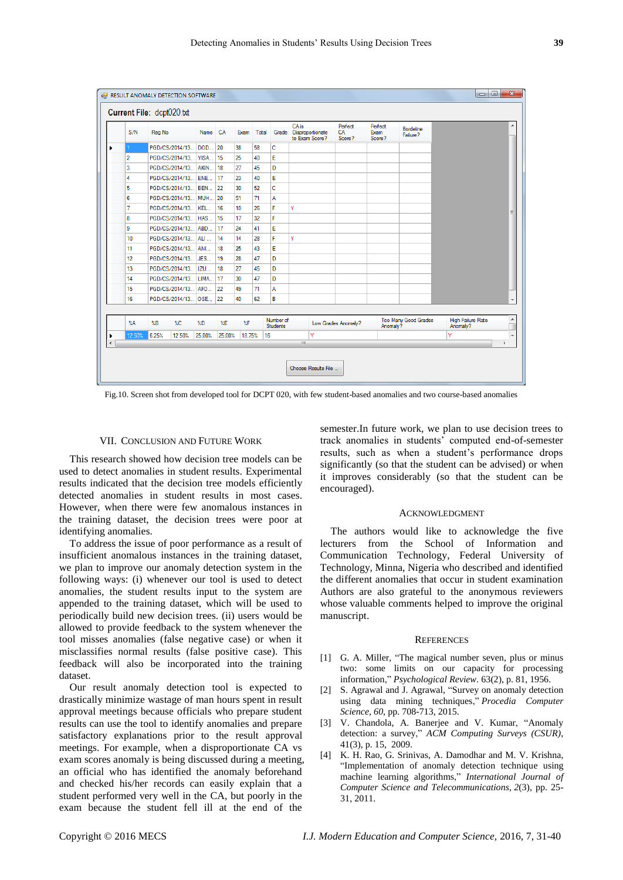|                      | S/N            | Reg No |                     | Name CA                   |        | Exam                      | Total |                       | CA is<br>Grade Disproportionate<br>to Exam Score? | Perfect<br>CA<br>Score? | Perfect<br>Exam<br>Score? | <b>Bordeline</b><br>Failure? |                               |
|----------------------|----------------|--------|---------------------|---------------------------|--------|---------------------------|-------|-----------------------|---------------------------------------------------|-------------------------|---------------------------|------------------------------|-------------------------------|
|                      |                |        | PGD/CS/2014/13      | DOD                       | 20     | 38                        | 58    | c                     |                                                   |                         |                           |                              |                               |
|                      | $\overline{2}$ |        | PGD/CS/2014/13 YISA |                           | 15     | 25                        | 40    | E                     |                                                   |                         |                           |                              |                               |
|                      | 3              |        | PGD/CS/2014/13 AKIN |                           | 18     | 27                        | 45    | D                     |                                                   |                         |                           |                              |                               |
|                      | 4              |        | PGD/CS/2014/13 ENE  |                           | 17     | 23                        | 40    | E                     |                                                   |                         |                           |                              |                               |
|                      | 5              |        | PGD/CS/2014/13      | BEN                       | 22     | 30                        | 52    | Ċ                     |                                                   |                         |                           |                              |                               |
|                      | 6              |        | PGD/CS/2014/13 MUH  |                           | 20     | 51                        | 71    | A                     |                                                   |                         |                           |                              |                               |
|                      | 7              |        | PGD/CS/2014/13      | KEL                       | 16     | 10                        | 26    | F                     | Ÿ                                                 |                         |                           |                              |                               |
|                      | 8              |        | PGD/CS/2014/13 HAS  |                           | 15     | 17                        | 32    | F                     |                                                   |                         |                           |                              |                               |
|                      | 9              |        | PGD/CS/2014/13 ABD  |                           | 17     | 24                        | 41    | E                     |                                                   |                         |                           |                              |                               |
|                      | 10             |        | PGD/CS/2014/13 ALI  |                           | 14     | 14                        | 28    | F                     | Ÿ                                                 |                         |                           |                              |                               |
|                      | 11             |        | PGD/CS/2014/13 ANI  |                           | 18     | 25                        | 43    | E                     |                                                   |                         |                           |                              |                               |
|                      | 12             |        | PGD/CS/2014/13 JES  |                           | 19     | 28                        | 47    | D                     |                                                   |                         |                           |                              |                               |
|                      | 13             |        | PGD/CS/2014/13  IZU |                           | 18     | 27                        | 45    | D                     |                                                   |                         |                           |                              |                               |
|                      | 14             |        | PGD/CS/2014/13 LIMA |                           | 17     | 30                        | 47    | D                     |                                                   |                         |                           |                              |                               |
|                      | 15             |        | PGD/CS/2014/13 AFO  |                           | 22     | 49                        | 71    | A                     |                                                   |                         |                           |                              |                               |
|                      | 16             |        | PGD/CS/2014/13 OSE  |                           | 22     | 40                        | 62    | B                     |                                                   |                         |                           |                              |                               |
|                      | $\lambda$ A    | %B     | $\%C$               | $^{\circ}$ <sub>4</sub> D | XE     | $^{\circ}$ <sub>6</sub> F |       | Number of<br>Students |                                                   | Low Grades Anomaly?     | Anomaly?                  | Too Many Good Grades         | High Failure Rate<br>Anomaly? |
|                      | 12.50%         | 6.25%  | 12.50%              | 25.00%                    | 25.00% | 18.75%                    |       | 16                    | Ÿ                                                 |                         |                           |                              | Ÿ                             |
| $\blacktriangleleft$ |                |        |                     |                           |        |                           |       |                       | m.                                                |                         |                           |                              |                               |

Fig.10. Screen shot from developed tool for DCPT 020, with few student-based anomalies and two course-based anomalies

# VII. CONCLUSION AND FUTURE WORK

This research showed how decision tree models can be used to detect anomalies in student results. Experimental results indicated that the decision tree models efficiently detected anomalies in student results in most cases. However, when there were few anomalous instances in the training dataset, the decision trees were poor at identifying anomalies.

To address the issue of poor performance as a result of insufficient anomalous instances in the training dataset, we plan to improve our anomaly detection system in the following ways: (i) whenever our tool is used to detect anomalies, the student results input to the system are appended to the training dataset, which will be used to periodically build new decision trees. (ii) users would be allowed to provide feedback to the system whenever the tool misses anomalies (false negative case) or when it misclassifies normal results (false positive case). This feedback will also be incorporated into the training dataset.

Our result anomaly detection tool is expected to drastically minimize wastage of man hours spent in result approval meetings because officials who prepare student results can use the tool to identify anomalies and prepare satisfactory explanations prior to the result approval meetings. For example, when a disproportionate CA vs exam scores anomaly is being discussed during a meeting, an official who has identified the anomaly beforehand and checked his/her records can easily explain that a student performed very well in the CA, but poorly in the exam because the student fell ill at the end of the

semester.In future work, we plan to use decision trees to track anomalies in students" computed end-of-semester results, such as when a student"s performance drops significantly (so that the student can be advised) or when it improves considerably (so that the student can be encouraged).

#### ACKNOWLEDGMENT

The authors would like to acknowledge the five lecturers from the School of Information and Communication Technology, Federal University of Technology, Minna, Nigeria who described and identified the different anomalies that occur in student examination Authors are also grateful to the anonymous reviewers whose valuable comments helped to improve the original manuscript.

#### **REFERENCES**

- [1] G. A. Miller, "The magical number seven, plus or minus two: some limits on our capacity for processing information," *Psychological Review*. 63(2), p. 81, 1956.
- [2] S. Agrawal and J. Agrawal, "Survey on anomaly detection using data mining techniques," *Procedia Computer Science*, *60*, pp. 708-713, 2015.
- [3] V. Chandola, A. Banerjee and V. Kumar, "Anomaly detection: a survey," *ACM Computing Surveys (CSUR)*, 41(3), p. 15, 2009.
- [4] K. H. Rao, G. Srinivas, A. Damodhar and M. V. Krishna, "Implementation of anomaly detection technique using machine learning algorithms," *International Journal of Computer Science and Telecommunications*, *2*(3), pp. 25- 31, 2011.